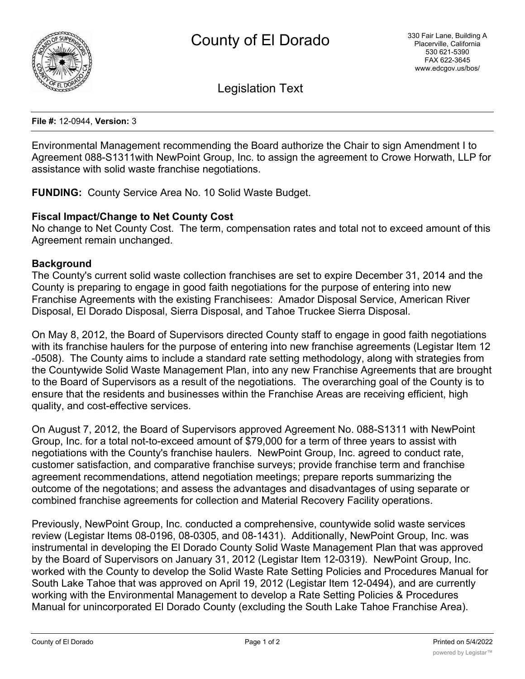

Legislation Text

**File #:** 12-0944, **Version:** 3

Environmental Management recommending the Board authorize the Chair to sign Amendment I to Agreement 088-S1311with NewPoint Group, Inc. to assign the agreement to Crowe Horwath, LLP for assistance with solid waste franchise negotiations.

**FUNDING:** County Service Area No. 10 Solid Waste Budget.

# **Fiscal Impact/Change to Net County Cost**

No change to Net County Cost. The term, compensation rates and total not to exceed amount of this Agreement remain unchanged.

# **Background**

The County's current solid waste collection franchises are set to expire December 31, 2014 and the County is preparing to engage in good faith negotiations for the purpose of entering into new Franchise Agreements with the existing Franchisees: Amador Disposal Service, American River Disposal, El Dorado Disposal, Sierra Disposal, and Tahoe Truckee Sierra Disposal.

On May 8, 2012, the Board of Supervisors directed County staff to engage in good faith negotiations with its franchise haulers for the purpose of entering into new franchise agreements (Legistar Item 12 -0508). The County aims to include a standard rate setting methodology, along with strategies from the Countywide Solid Waste Management Plan, into any new Franchise Agreements that are brought to the Board of Supervisors as a result of the negotiations. The overarching goal of the County is to ensure that the residents and businesses within the Franchise Areas are receiving efficient, high quality, and cost-effective services.

On August 7, 2012, the Board of Supervisors approved Agreement No. 088-S1311 with NewPoint Group, Inc. for a total not-to-exceed amount of \$79,000 for a term of three years to assist with negotiations with the County's franchise haulers. NewPoint Group, Inc. agreed to conduct rate, customer satisfaction, and comparative franchise surveys; provide franchise term and franchise agreement recommendations, attend negotiation meetings; prepare reports summarizing the outcome of the negotations; and assess the advantages and disadvantages of using separate or combined franchise agreements for collection and Material Recovery Facility operations.

Previously, NewPoint Group, Inc. conducted a comprehensive, countywide solid waste services review (Legistar Items 08-0196, 08-0305, and 08-1431). Additionally, NewPoint Group, Inc. was instrumental in developing the El Dorado County Solid Waste Management Plan that was approved by the Board of Supervisors on January 31, 2012 (Legistar Item 12-0319). NewPoint Group, Inc. worked with the County to develop the Solid Waste Rate Setting Policies and Procedures Manual for South Lake Tahoe that was approved on April 19, 2012 (Legistar Item 12-0494), and are currently working with the Environmental Management to develop a Rate Setting Policies & Procedures Manual for unincorporated El Dorado County (excluding the South Lake Tahoe Franchise Area).